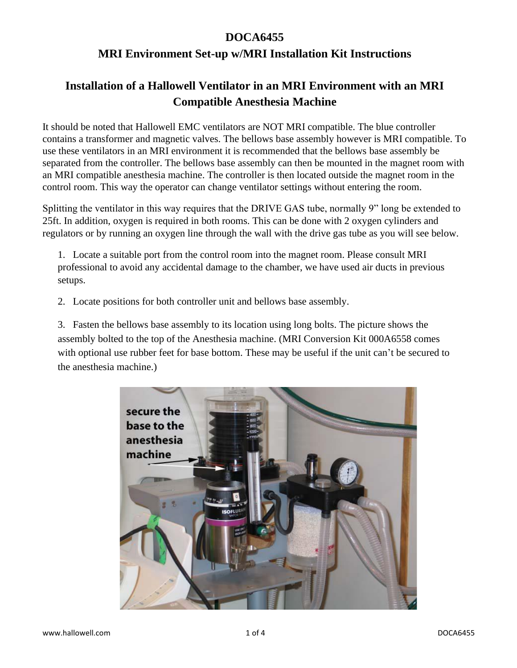## **DOCA6455**

## **MRI Environment Set-up w/MRI Installation Kit Instructions**

## **Installation of a Hallowell Ventilator in an MRI Environment with an MRI Compatible Anesthesia Machine**

It should be noted that Hallowell EMC ventilators are NOT MRI compatible. The blue controller contains a transformer and magnetic valves. The bellows base assembly however is MRI compatible. To use these ventilators in an MRI environment it is recommended that the bellows base assembly be separated from the controller. The bellows base assembly can then be mounted in the magnet room with an MRI compatible anesthesia machine. The controller is then located outside the magnet room in the control room. This way the operator can change ventilator settings without entering the room.

Splitting the ventilator in this way requires that the DRIVE GAS tube, normally 9" long be extended to 25ft. In addition, oxygen is required in both rooms. This can be done with 2 oxygen cylinders and regulators or by running an oxygen line through the wall with the drive gas tube as you will see below.

1. Locate a suitable port from the control room into the magnet room. Please consult MRI professional to avoid any accidental damage to the chamber, we have used air ducts in previous setups.

2. Locate positions for both controller unit and bellows base assembly.

3. Fasten the bellows base assembly to its location using long bolts. The picture shows the assembly bolted to the top of the Anesthesia machine. (MRI Conversion Kit 000A6558 comes with optional use rubber feet for base bottom. These may be useful if the unit can't be secured to the anesthesia machine.)

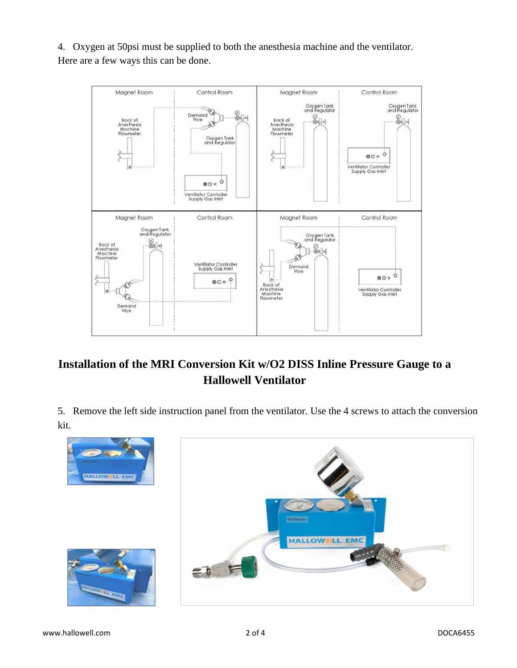

4. Oxygen at 50psi must be supplied to both the anesthesia machine and the ventilator. Here are a few ways this can be done.

## **Installation of the MRI Conversion Kit w/O2 DISS Inline Pressure Gauge to a Hallowell Ventilator**

5. Remove the left side instruction panel from the ventilator. Use the 4 screws to attach the conversion kit.

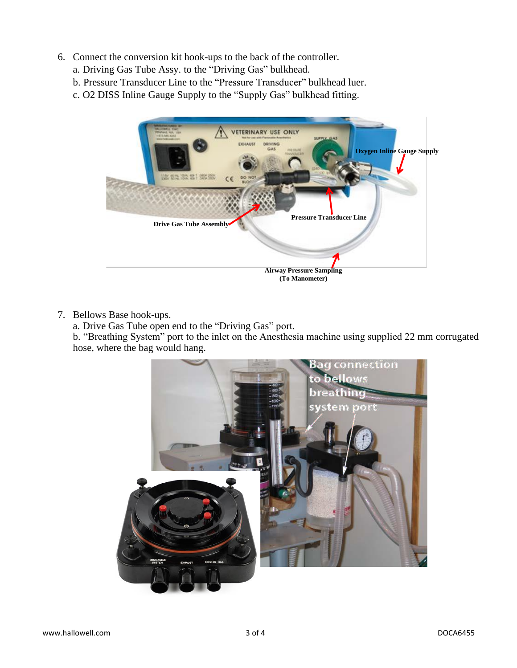- 6. Connect the conversion kit hook-ups to the back of the controller.
	- a. Driving Gas Tube Assy. to the "Driving Gas" bulkhead.
	- b. Pressure Transducer Line to the "Pressure Transducer" bulkhead luer.
	- c. O2 DISS Inline Gauge Supply to the "Supply Gas" bulkhead fitting.



7. Bellows Base hook-ups.

a. Drive Gas Tube open end to the "Driving Gas" port.

b. "Breathing System" port to the inlet on the Anesthesia machine using supplied 22 mm corrugated hose, where the bag would hang.